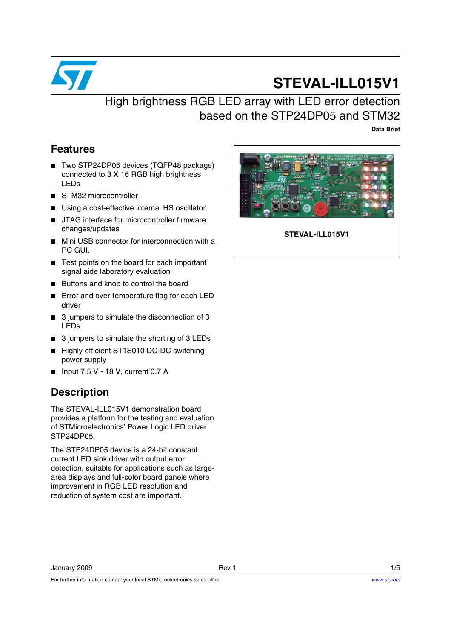

# **STEVAL-ILL015V1**

## High brightness RGB LED array with LED error detection based on the STP24DP05 and STM32

**Data Brief**

### **Features**

- Two STP24DP05 devices (TQFP48 package) connected to 3 X 16 RGB high brightness LEDs
- STM32 microcontroller
- Using a cost-effective internal HS oscillator.
- JTAG interface for microcontroller firmware changes/updates
- Mini USB connector for interconnection with a PC GUI.
- Test points on the board for each important signal aide laboratory evaluation
- Buttons and knob to control the board
- Error and over-temperature flag for each LED driver
- 3 jumpers to simulate the disconnection of 3 LEDs
- 3 jumpers to simulate the shorting of 3 LEDs
- Highly efficient ST1S010 DC-DC switching power supply
- Input 7.5 V 18 V, current 0.7 A

## **Description**

The STEVAL-ILL015V1 demonstration board provides a platform for the testing and evaluation of STMicroelectronics' Power Logic LED driver STP24DP05.

The STP24DP05 device is a 24-bit constant current LED sink driver with output error detection, suitable for applications such as largearea displays and full-color board panels where improvement in RGB LED resolution and reduction of system cost are important.



**STEVAL-ILL015V1**

January 2009 Rev 1 1/5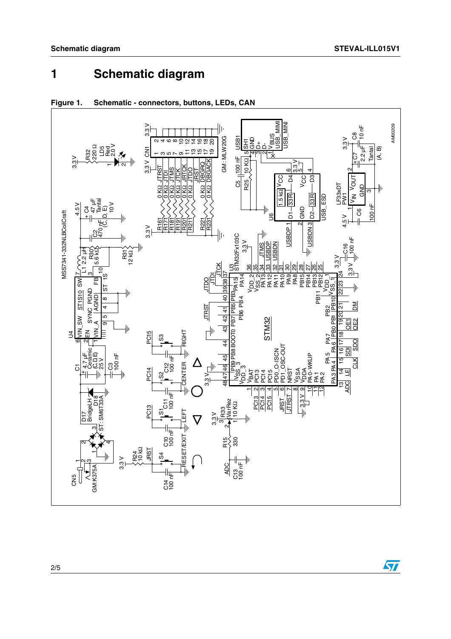### **Schematic diagram**  $\blacksquare$



#### Figure 1. Schematic - connectors, buttons, LEDs, CAN

 $\sqrt{2}$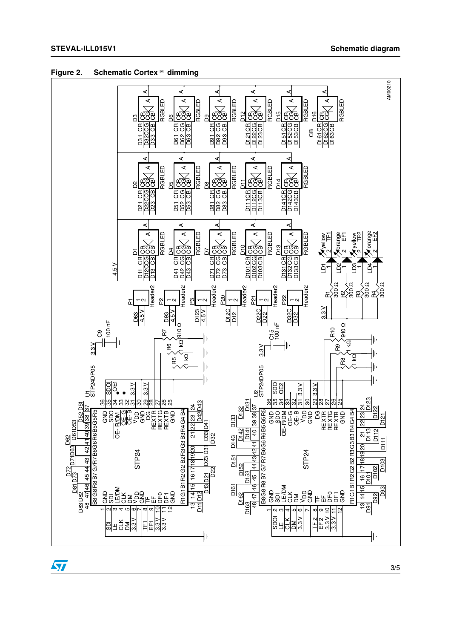

Figure 2. Schematic Cortex™ dimming

 $\sqrt{2}$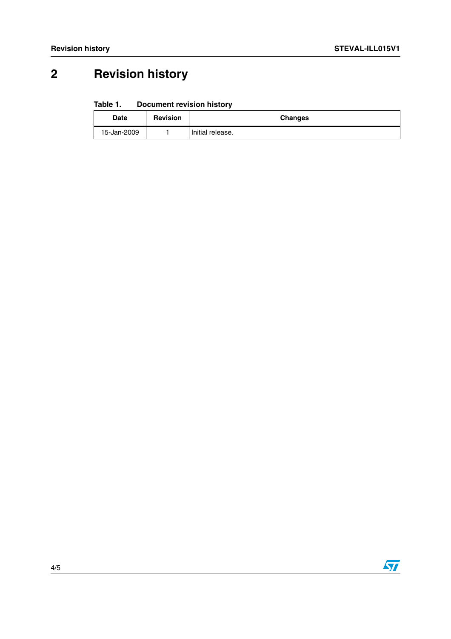# **2 Revision history**

#### Table 1. **Document revision history**

| <b>Date</b> | <b>Revision</b> | <b>Changes</b>   |
|-------------|-----------------|------------------|
| 15-Jan-2009 |                 | Initial release. |